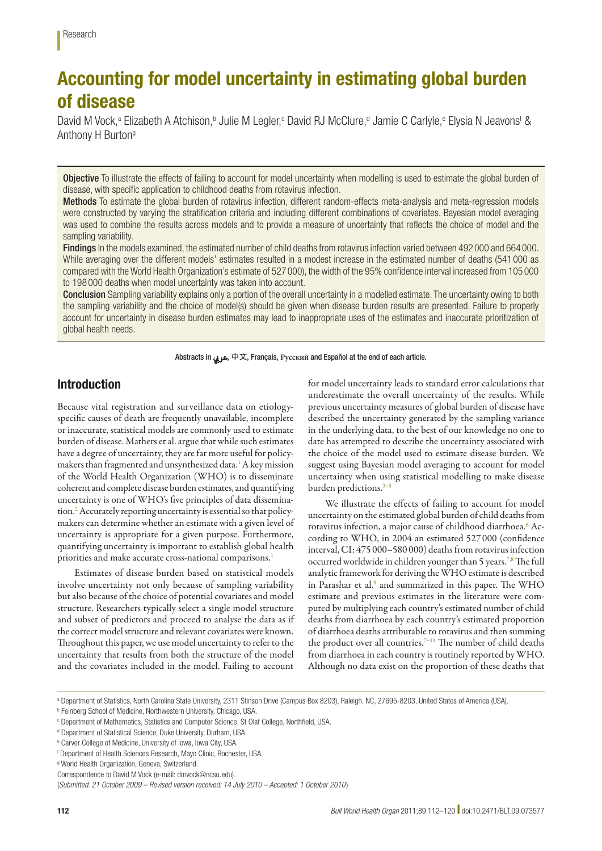# Accounting for model uncertainty in estimating global burden of disease

David M Vock,<sup>a</sup> Elizabeth A Atchison,<sup>b</sup> Julie M Legler,<sup>c</sup> David RJ McClure,<sup>d</sup> Jamie C Carlyle,<sup>e</sup> Elysia N Jeavons<sup>f</sup> & Anthony H Burtong

**Objective** To illustrate the effects of failing to account for model uncertainty when modelling is used to estimate the global burden of disease, with specific application to childhood deaths from rotavirus infection.

Methods To estimate the global burden of rotavirus infection, different random-effects meta-analysis and meta-regression models were constructed by varying the stratification criteria and including different combinations of covariates. Bayesian model averaging was used to combine the results across models and to provide a measure of uncertainty that reflects the choice of model and the sampling variability.

Findings In the models examined, the estimated number of child deaths from rotavirus infection varied between 492 000 and 664 000. While averaging over the different models' estimates resulted in a modest increase in the estimated number of deaths (541 000 as compared with the World Health Organization's estimate of 527 000), the width of the 95% confidence interval increased from 105 000 to 198 000 deaths when model uncertainty was taken into account.

Conclusion Sampling variability explains only a portion of the overall uncertainty in a modelled estimate. The uncertainty owing to both the sampling variability and the choice of model(s) should be given when disease burden results are presented. Failure to properly account for uncertainty in disease burden estimates may lead to inappropriate uses of the estimates and inaccurate prioritization of global health needs.

Abstracts in عريب, 中文, Français, **Pусский** and Español at the end of each article.

# Introduction

Because vital registration and surveillance data on etiologyspecific causes of death are frequently unavailable, incomplete or inaccurate, statistical models are commonly used to estimate burden of disease. Mathers et al. argue that while such estimates have a degree of uncertainty, they are far more useful for policymakers than fragmented and unsynthesized data.<sup>1</sup> A key mission of the World Health Organization (WHO) is to disseminate coherent and complete disease burden estimates, and quantifying uncertainty is one of WHO's five principles of data dissemination.<sup>2</sup> Accurately reporting uncertainty is essential so that policymakers can determine whether an estimate with a given level of uncertainty is appropriate for a given purpose. Furthermore, quantifying uncertainty is important to establish global health priorities and make accurate cross-national comparisons.<sup>[1](#page-8-0)</sup>

Estimates of disease burden based on statistical models involve uncertainty not only because of sampling variability but also because of the choice of potential covariates and model structure. Researchers typically select a single model structure and subset of predictors and proceed to analyse the data as if the correct model structure and relevant covariates were known. Throughout this paper, we use model uncertainty to refer to the uncertainty that results from both the structure of the model and the covariates included in the model. Failing to account

for model uncertainty leads to standard error calculations that underestimate the overall uncertainty of the results. While previous uncertainty measures of global burden of disease have described the uncertainty generated by the sampling variance in the underlying data, to the best of our knowledge no one to date has attempted to describe the uncertainty associated with the choice of the model used to estimate disease burden. We suggest using Bayesian model averaging to account for model uncertainty when using statistical modelling to make disease burden predictions.<sup>3-5</sup>

We illustrate the effects of failing to account for model uncertainty on the estimated global burden of child deaths from rotavirus infection, a major cause of childhood diarrhoea.<sup>6</sup> According to WHO, in 2004 an estimated 527 000 (confidence interval, CI: 475 000–580 000) deaths from rotavirus infection occurred worldwide in children younger than 5 years.<sup>7[,8](#page-8-6)</sup> The full analytic framework for deriving the WHO estimate is described in Parashar et al.<sup>[8](#page-8-6)</sup> and summarized in this paper. The WHO estimate and previous estimates in the literature were computed by multiplying each country's estimated number of child deaths from diarrhoea by each country's estimated proportion of diarrhoea deaths attributable to rotavirus and then summing the product over all countries.<sup>7-11</sup> The number of child deaths from diarrhoea in each country is routinely reported by WHO. Although no data exist on the proportion of these deaths that

a Department of Statistics, North Carolina State University, 2311 Stinson Drive (Campus Box 8203), Raleigh, NC, 27695-8203, United States of America (USA).

**Feinberg School of Medicine, Northwestern University, Chicago, USA.** 

c Department of Mathematics, Statistics and Computer Science, St Olaf College, Northfield, USA.

<sup>&</sup>lt;sup>d</sup> Department of Statistical Science, Duke University, Durham, USA.

e Carver College of Medicine, University of Iowa, Iowa City, USA.

f Department of Health Sciences Research, Mayo Clinic, Rochester, USA.

g World Health Organization, Geneva, Switzerland.

Correspondence to David M Vock (e-mail: dmvock@ncsu.edu).

<sup>(</sup>*Submitted: 21 October 2009 – Revised version received: 14 July 2010 – Accepted: 1 October 2010* )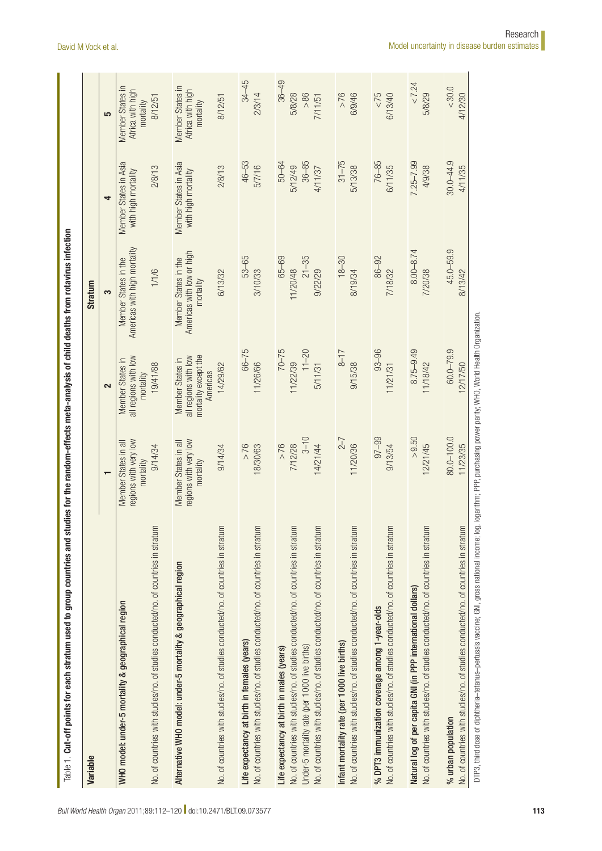| Variable                                                                                                                                 |                                                                      |                                                                              | <b>Stratum</b>                                                 |                                                        |                                                                     |
|------------------------------------------------------------------------------------------------------------------------------------------|----------------------------------------------------------------------|------------------------------------------------------------------------------|----------------------------------------------------------------|--------------------------------------------------------|---------------------------------------------------------------------|
|                                                                                                                                          |                                                                      | 2                                                                            | 3                                                              | 4                                                      | 5                                                                   |
| No. of countries with studies/no. of studies conducted/no. of countries in stratum<br>WHO model: under-5 mortality & geographical region | vol yev rhiw snoipe:<br>Member States in all<br>9/14/34<br>mortality | all regions with low<br>Member States in<br>19/41/88<br>mortality            | Americas with high mortality<br>Member States in the<br>1/1/6  | Member States in Asia<br>2/8/13<br>with high mortality | <b>Member States in</b><br>Africa with high<br>8/12/51<br>mortality |
| Alternative WHO model: under-5 mortality & geographical region                                                                           | vol yev rhiw snoipe:<br>Member States in all<br>mortality            | mortality except the<br>all regions with low<br>Member States in<br>Americas | Americas with low or high<br>Member States in the<br>mortality | Member States in Asia<br>with high mortality           | <b>Member States in</b><br>Africa with high<br>mortality            |
| No. of countries with studies/no. of studies conducted/no. of countries in stratum                                                       | 9/14/34                                                              | 14/29/62                                                                     | 6/13/32                                                        | 2/8/13                                                 | 8/12/51                                                             |
| No. of countries with studies/no. of studies conducted/no. of countries in stratum                                                       | $>76$                                                                | $66 - 75$                                                                    | 53-65                                                          | $46 - 53$                                              | $34 - 45$                                                           |
| Life expectancy at birth in females (years)                                                                                              | 18/30/63                                                             | 11/26/66                                                                     | 3/10/33                                                        | 5/7/16                                                 | 2/3/14                                                              |
| No. of countries with studies/no. of studies conducted/no. of countries in stratum                                                       | $3 - 10$                                                             | $70 - 75$                                                                    | $65 - 69$                                                      | $50 - 64$                                              | $36 - 49$                                                           |
| No. of countries with studies/no. of studies conducted/no. of countries in stratum                                                       | 7/12/28                                                              | $11 - 20$                                                                    | $21 - 35$                                                      | $36 - 85$                                              | 5/8/28                                                              |
| Under-5 mortality rate (per 1000 live births)                                                                                            | $>76$                                                                | 11/22/39                                                                     | 11/20/48                                                       | 5/12/49                                                | > 86                                                                |
| Life expectancy at birth in males (years)                                                                                                | 14/21/44                                                             | 5/11/31                                                                      | 9/22/29                                                        | 4/11/37                                                | 7/11/51                                                             |
| No. of countries with studies/no. of studies conducted/no. of countries in stratum                                                       | $2 - 7$                                                              | $8 - 17$                                                                     | $18 - 30$                                                      | $31 - 75$                                              | $>76$                                                               |
| Infant mortality rate (per 1 000 live births)                                                                                            | 11/20/36                                                             | 9/15/38                                                                      | 8/19/34                                                        | 5/13/38                                                | 6/9/46                                                              |
| No. of countries with studies/no. of studies conducted/no. of countries in stratum                                                       | $97 - 99$                                                            | $93 - 96$                                                                    | 86-92                                                          | 76-85                                                  | 52 >                                                                |
| % DPT3 immunization coverage among 1-year-olds                                                                                           | 9/13/54                                                              | 11/21/31                                                                     | 7/18/32                                                        | 6/11/35                                                | 6/13/40                                                             |
| No. of countries with studies/no. of studies conducted/no. of countries in stratum                                                       | $>9.50$                                                              | $8.75 - 9.49$                                                                | $8.00 - 8.74$                                                  | $7.25 - 7.99$                                          | < 7.24                                                              |
| Natural log of per capita GNI (in PPP international dollars)                                                                             | 12/21/45                                                             | 11/18/42                                                                     | 7/20/38                                                        | 4/9/38                                                 | 5/8/29                                                              |
| No. of countries with studies/no. of studies conducted/no. of countries in stratum                                                       | 80.0-100.0                                                           | $60.0 - 79.9$                                                                | 45.0-59.9                                                      | $30.0 - 44.9$                                          | ${}_{<}30.0{}$                                                      |
| % urban population                                                                                                                       | 11/23/35                                                             | 12/17/50                                                                     | 8/13/42                                                        | 4/11/35                                                | 4/12/30                                                             |

<span id="page-1-0"></span>DTP3, third dose of diphtheria-tetanus-pertussis vaccine; GNI, gross national income; log, logarithm; PPP, purchasing power parity; WHO, World Health Organization. DTP3, third dose of diphtheria–tetanus–pertussis vaccine; GNI, gross national income; log, logarithm; PPP, purchasing power parity; WHO, World Health Organization.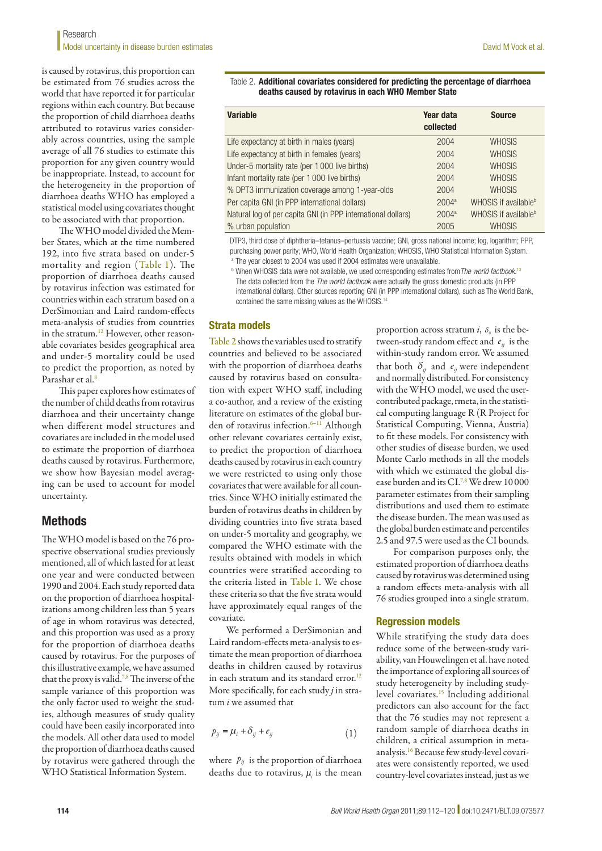is caused by rotavirus, this proportion can be estimated from 76 studies across the world that have reported it for particular regions within each country. But because the proportion of child diarrhoea deaths attributed to rotavirus varies considerably across countries, using the sample average of all 76 studies to estimate this proportion for any given country would be inappropriate. Instead, to account for the heterogeneity in the proportion of diarrhoea deaths WHO has employed a statistical model using covariates thought to be associated with that proportion.

The WHO model divided the Member States, which at the time numbered 192, into five strata based on under-5 mortality and region ([Table](#page-1-0) 1). The proportion of diarrhoea deaths caused by rotavirus infection was estimated for countries within each stratum based on a DerSimonian and Laird random-effects meta-analysis of studies from countries in the stratum.<sup>[12](#page-8-8)</sup> However, other reasonable covariates besides geographical area and under-5 mortality could be used to predict the proportion, as noted by Parashar et al.<sup>8</sup>

This paper explores how estimates of the number of child deaths from rotavirus diarrhoea and their uncertainty change when different model structures and covariates are included in the model used to estimate the proportion of diarrhoea deaths caused by rotavirus. Furthermore, we show how Bayesian model averaging can be used to account for model uncertainty.

# Methods

The WHO model is based on the 76 prospective observational studies previously mentioned, all of which lasted for at least one year and were conducted between 1990 and 2004. Each study reported data on the proportion of diarrhoea hospitalizations among children less than 5 years of age in whom rotavirus was detected, and this proportion was used as a proxy for the proportion of diarrhoea deaths caused by rotavirus. For the purposes of this illustrative example, we have assumed that the proxy is valid.<sup>[7](#page-8-5),[8](#page-8-6)</sup> The inverse of the sample variance of this proportion was the only factor used to weight the studies, although measures of study quality could have been easily incorporated into the models. All other data used to model the proportion of diarrhoea deaths caused by rotavirus were gathered through the WHO Statistical Information System.

<span id="page-2-0"></span>Table 2. Additional covariates considered for predicting the percentage of diarrhoea deaths caused by rotavirus in each WHO Member State

| <b>Variable</b>                                              | Year data<br>collected | <b>Source</b>                    |
|--------------------------------------------------------------|------------------------|----------------------------------|
| Life expectancy at birth in males (years)                    | 2004                   | <b>WHOSIS</b>                    |
| Life expectancy at birth in females (years)                  | 2004                   | <b>WHOSIS</b>                    |
| Under-5 mortality rate (per 1 000 live births)               | 2004                   | <b>WHOSIS</b>                    |
| Infant mortality rate (per 1 000 live births)                | 2004                   | <b>WHOSIS</b>                    |
| % DPT3 immunization coverage among 1-year-olds               | 2004                   | <b>WHOSIS</b>                    |
| Per capita GNI (in PPP international dollars)                | $2004^a$               | WHOSIS if available <sup>b</sup> |
| Natural log of per capita GNI (in PPP international dollars) | $2004^a$               | WHOSIS if available <sup>b</sup> |
| % urban population                                           | 2005                   | <b>WHOSIS</b>                    |

DTP3, third dose of diphtheria–tetanus–pertussis vaccine; GNI, gross national income; log, logarithm; PPP, purchasing power parity; WHO, World Health Organization; WHOSIS, WHO Statistical Information System. <sup>a</sup> The year closest to 2004 was used if 2004 estimates were unavailable.

<sup>b</sup> When WHOSIS data were not available, we used corresponding estimates from*The world factbook.*[13](#page-8-11) The data collected from the *The world factbook* were actually the gross domestic products (in PPP international dollars). Other sources reporting GNI (in PPP international dollars), such as The World Bank, contained the same missing values as the WHOSIS.<sup>[14](#page-8-12)</sup>

#### Strata models

[Table](#page-2-0) 2 shows the variables used to stratify countries and believed to be associated with the proportion of diarrhoea deaths caused by rotavirus based on consultation with expert WHO staff, including a co-author, and a review of the existing literature on estimates of the global burden of rotavirus infection.[6–](#page-8-4)[11](#page-8-7) Although other relevant covariates certainly exist, to predict the proportion of diarrhoea deaths caused by rotavirus in each country we were restricted to using only those covariates that were available for all countries. Since WHO initially estimated the burden of rotavirus deaths in children by dividing countries into five strata based on under-5 mortality and geography, we compared the WHO estimate with the results obtained with models in which countries were stratified according to the criteria listed in [Table](#page-1-0) 1. We chose these criteria so that the five strata would have approximately equal ranges of the covariate.

We performed a DerSimonian and Laird random-effects meta-analysis to estimate the mean proportion of diarrhoea deaths in children caused by rotavirus in each stratum and its standard error.<sup>12</sup> More specifically, for each study *j* in stratum *i* we assumed that

$$
p_{ij} = \mu_i + \delta_{ij} + e_{ij} \tag{1}
$$

where  $p_{ij}$  is the proportion of diarrhoea deaths due to rotavirus,  $\mu_i$  is the mean

proportion across stratum *i*,  $\delta_{ij}$  is the between-study random effect and *eij* is the within-study random error. We assumed that both  $\delta_{ij}$  and  $e_{ij}$  were independent and normally distributed. For consistency with the WHO model, we used the usercontributed package, rmeta, in the statistical computing language R (R Project for Statistical Computing, Vienna, Austria) to fit these models. For consistency with other studies of disease burden, we used Monte Carlo methods in all the models with which we estimated the global dis-ease burden and its CI.<sup>7[,8](#page-8-6)</sup> We drew 10 000 parameter estimates from their sampling distributions and used them to estimate the disease burden. The mean was used as the global burden estimate and percentiles 2.5 and 97.5 were used as the CI bounds.

For comparison purposes only, the estimated proportion of diarrhoea deaths caused by rotavirus was determined using a random effects meta-analysis with all 76 studies grouped into a single stratum.

#### Regression models

While stratifying the study data does reduce some of the between-study variability, van Houwelingen et al. have noted the importance of exploring all sources of study heterogeneity by including studylevel covariates.[15](#page-8-9) Including additional predictors can also account for the fact that the 76 studies may not represent a random sample of diarrhoea deaths in children, a critical assumption in metaanalysis.[16](#page-8-10) Because few study-level covariates were consistently reported, we used country-level covariates instead, just as we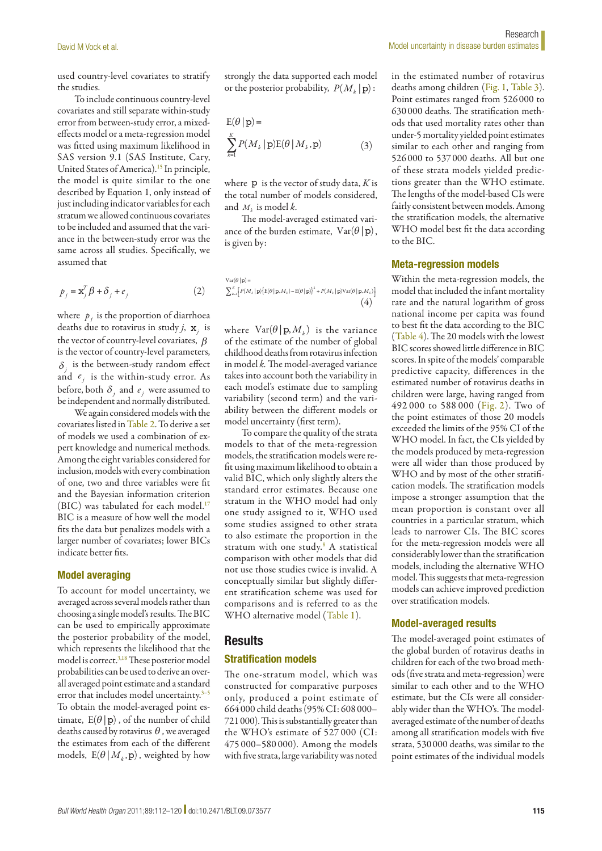used country-level covariates to stratify the studies.

To include continuous country-level covariates and still separate within-study error from between-study error, a mixedeffects model or a meta-regression model was fitted using maximum likelihood in SAS version 9.1 (SAS Institute, Cary, United States of America).<sup>15</sup> In principle, the model is quite similar to the one described by Equation 1, only instead of just including indicator variables for each stratum we allowed continuous covariates to be included and assumed that the variance in the between-study error was the same across all studies. Specifically, we assumed that

$$
p_j = \mathbf{x}_j^T \boldsymbol{\beta} + \boldsymbol{\delta}_j + \boldsymbol{e}_j \tag{2}
$$

where  $p_j$  is the proportion of diarrhoea deaths due to rotavirus in study *j*, x*j* is the vector of country-level covariates, β is the vector of country-level parameters,  $\delta_i$  is the between-study random effect and  $e_j$  is the within-study error. As before, both  $\delta_i$  and  $e_j$  were assumed to be independent and normally distributed.

We again considered models with the covariates listed in [Table](#page-2-0) 2. To derive a set of models we used a combination of expert knowledge and numerical methods. Among the eight variables considered for inclusion, models with every combination of one, two and three variables were fit and the Bayesian information criterion (BIC) was tabulated for each model.<sup>17</sup> BIC is a measure of how well the model fits the data but penalizes models with a larger number of covariates; lower BICs indicate better fits.

#### Model averaging

To account for model uncertainty, we averaged across several models rather than choosing a single model's results. The BIC can be used to empirically approximate the posterior probability of the model, which represents the likelihood that the model is correct.<sup>3,18</sup> These posterior model probabilities can be used to derive an overall averaged point estimate and a standard error that includes model uncertainty.<sup>3-[5](#page-8-3)</sup> To obtain the model-averaged point estimate,  $E(\theta | p)$ , of the number of child deaths caused by rotavirus <sup>θ</sup> *,* we averaged the estimates from each of the different models,  $E(\theta | M_k, p)$ , weighted by how

strongly the data supported each model or the posterior probability,  $P(M_k | p)$ :

$$
E(\theta | p) =
$$
  

$$
\sum_{k=1}^{K} P(M_k | p) E(\theta | M_k, p)
$$
 (3)

where p is the vector of study data, *K* is the total number of models considered, and  $M_k$  is model  $k$ .

The model-averaged estimated variance of the burden estimate,  $Var(\theta | p)$ , is given by:

$$
\sum_{k=1}^{K} \left[ P(M_k | \mathbf{p}) \left\{ \mathbf{E}(\theta | \mathbf{p}, M_k) - \mathbf{E}(\theta | \mathbf{p}) \right\}^2 + P(M_k | \mathbf{p}) \text{Var}(\theta | \mathbf{p}, M_k) \right] \tag{4}
$$

where  $\text{Var}(\theta | \mathbf{p}, M_k)$  is the variance of the estimate of the number of global childhood deaths from rotavirus infection in model *k.* The model-averaged variance takes into account both the variability in each model's estimate due to sampling variability (second term) and the variability between the different models or model uncertainty (first term).

To compare the quality of the strata models to that of the meta-regression models, the stratification models were refit using maximum likelihood to obtain a valid BIC, which only slightly alters the standard error estimates. Because one stratum in the WHO model had only one study assigned to it, WHO used some studies assigned to other strata to also estimate the proportion in the stratum with one study.<sup>[8](#page-8-6)</sup> A statistical comparison with other models that did not use those studies twice is invalid. A conceptually similar but slightly different stratification scheme was used for comparisons and is referred to as the WHO alternative model ([Table](#page-1-0) 1).

#### **Results**

#### Stratification models

The one-stratum model, which was constructed for comparative purposes only, produced a point estimate of 664 000 child deaths (95% CI: 608 000– 721000). This is substantially greater than the WHO's estimate of 527 000 (CI: 475 000–580 000). Among the models with five strata, large variability was noted

in the estimated number of rotavirus deaths among children ([Fig.](#page-4-0) 1, [Table](#page-4-1) 3). Point estimates ranged from 526 000 to 630 000 deaths. The stratification methods that used mortality rates other than under-5 mortality yielded point estimates similar to each other and ranging from 526 000 to 537 000 deaths. All but one of these strata models yielded predictions greater than the WHO estimate. The lengths of the model-based CIs were fairly consistent between models. Among the stratification models, the alternative WHO model best fit the data according to the BIC.

#### Meta-regression models

Within the meta-regression models, the model that included the infant mortality rate and the natural logarithm of gross national income per capita was found to best fit the data according to the BIC ([Table](#page-5-0) 4). The 20 models with the lowest BIC scores showed little difference in BIC scores. In spite of the models' comparable predictive capacity, differences in the estimated number of rotavirus deaths in children were large, having ranged from 492 000 to 588 000 ([Fig.](#page-6-0) 2). Two of the point estimates of those 20 models exceeded the limits of the 95% CI of the WHO model. In fact, the CIs yielded by the models produced by meta-regression were all wider than those produced by WHO and by most of the other stratification models. The stratification models impose a stronger assumption that the mean proportion is constant over all countries in a particular stratum, which leads to narrower CIs. The BIC scores for the meta-regression models were all considerably lower than the stratification models, including the alternative WHO model. This suggests that meta-regression models can achieve improved prediction over stratification models.

#### Model-averaged results

The model-averaged point estimates of the global burden of rotavirus deaths in children for each of the two broad methods (five strata and meta-regression) were similar to each other and to the WHO estimate, but the CIs were all considerably wider than the WHO's. The modelaveraged estimate of the number of deaths among all stratification models with five strata, 530 000 deaths, was similar to the point estimates of the individual models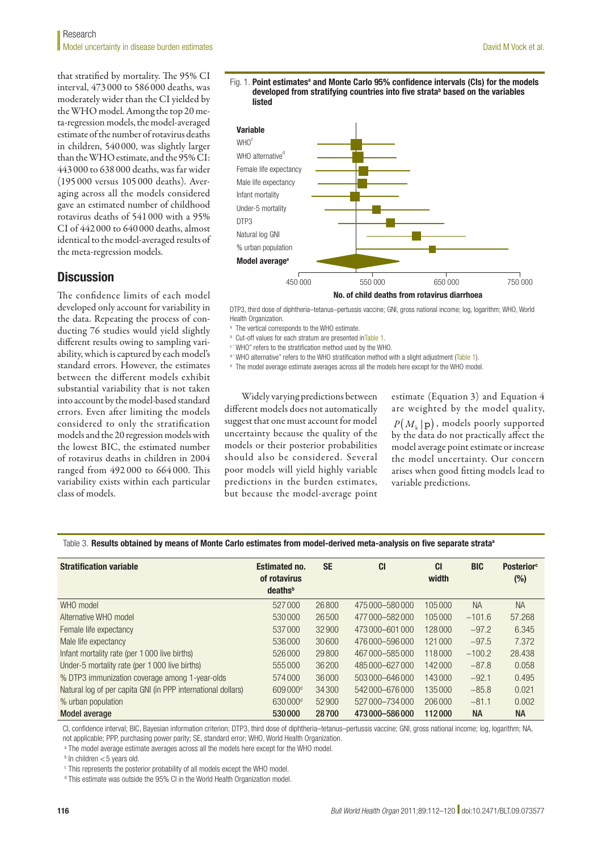that stratified by mortality. The 95% CI interval, 473 000 to 586 000 deaths, was moderately wider than the CI yielded by the WHO model. Among the top 20 meta-regression models, the model-averaged estimate of the number of rotavirus deaths in children, 540 000, was slightly larger than the WHO estimate, and the 95% CI: 443 000 to 638 000 deaths, was far wider (195 000 versus 105 000 deaths). Averaging across all the models considered gave an estimated number of childhood rotavirus deaths of 541 000 with a 95% CI of 442 000 to 640 000 deaths, almost identical to the model-averaged results of the meta-regression models.

# **Discussion**

The confidence limits of each model developed only account for variability in the data. Repeating the process of conducting 76 studies would yield slightly different results owing to sampling variability, which is captured by each model's standard errors. However, the estimates between the different models exhibit substantial variability that is not taken into account by the model-based standard errors. Even after limiting the models considered to only the stratification models and the 20 regression models with the lowest BIC, the estimated number of rotavirus deaths in children in 2004 ranged from 492 000 to 664 000. This variability exists within each particular class of models.

<span id="page-4-0"></span>



DTP3, third dose of diphtheria–tetanus–pertussis vaccine; GNI, gross national income; log, logarithm; WHO, World Health Organization

- <sup>a</sup> The vertical corresponds to the WHO estimate.
- <sup>b</sup> Cut-off values for each stratum are presented in[Table](#page-1-0) 1.
- c" WHO" refers to the stratification method used by the WHO.
- d \* WHO alternative" refers to the WHO stratification method with a slight adjustment [\(Table](#page-1-0) 1).
- 

<sup>e</sup> The model average estimate averages across all the models here except for the WHO model.

Widely varying predictions between different models does not automatically suggest that one must account for model uncertainty because the quality of the models or their posterior probabilities should also be considered. Several poor models will yield highly variable predictions in the burden estimates, but because the model-average point

estimate (Equation 3) and Equation 4 are weighted by the model quality,  $P(M_k | p)$ , models poorly supported by the data do not practically affect the model average point estimate or increase the model uncertainty. Our concern arises when good fitting models lead to variable predictions.

<span id="page-4-1"></span>Table 3. Results obtained by means of Monte Carlo estimates from model-derived meta-analysis on five separate strata<sup>a</sup>

| <b>Stratification variable</b>                               | <b>Estimated no.</b><br>of rotavirus<br>deaths <sup>b</sup> | <b>SE</b> | <b>CI</b>         | <b>CI</b><br>width | <b>BIC</b> | <b>Posterior</b> <sup>c</sup><br>$(\%)$ |
|--------------------------------------------------------------|-------------------------------------------------------------|-----------|-------------------|--------------------|------------|-----------------------------------------|
| WHO model                                                    | 527000                                                      | 26800     | 475 000 - 580 000 | 105000             | <b>NA</b>  | <b>NA</b>                               |
| Alternative WHO model                                        | 530000                                                      | 26500     | 477 000 - 582 000 | 105000             | $-101.6$   | 57.268                                  |
| Female life expectancy                                       | 537000                                                      | 32900     | 473000-601000     | 128000             | $-97.2$    | 6.345                                   |
| Male life expectancy                                         | 536000                                                      | 30600     | 476 000 - 596 000 | 121000             | $-97.5$    | 7.372                                   |
| Infant mortality rate (per 1000 live births)                 | 526000                                                      | 29800     | 467000-585000     | 118000             | $-100.2$   | 28.438                                  |
| Under-5 mortality rate (per 1000 live births)                | 555000                                                      | 36200     | 485000-627000     | 142000             | $-87.8$    | 0.058                                   |
| % DTP3 immunization coverage among 1-year-olds               | 574000                                                      | 36000     | 503000-646000     | 143000             | $-92.1$    | 0.495                                   |
| Natural log of per capita GNI (in PPP international dollars) | 609000 <sup>d</sup>                                         | 34300     | 542000-676000     | 135000             | $-85.8$    | 0.021                                   |
| % urban population                                           | 630000 <sup>d</sup>                                         | 52900     | 527 000 - 734 000 | 206000             | $-81.1$    | 0.002                                   |
| Model average                                                | 530000                                                      | 28700     | 473 000 - 586 000 | 112000             | <b>NA</b>  | <b>NA</b>                               |

CI, confidence interval; BIC, Bayesian information criterion; DTP3, third dose of diphtheria–tetanus–pertussis vaccine; GNI, gross national income; log, logarithm; NA, not applicable; PPP, purchasing power parity; SE, standard error; WHO, World Health Organization.

<sup>a</sup> The model average estimate averages across all the models here except for the WHO model.

 $b$  In children  $<$  5 years old.

<sup>c</sup> This represents the posterior probability of all models except the WHO model.

<sup>d</sup> This estimate was outside the 95% CI in the World Health Organization model.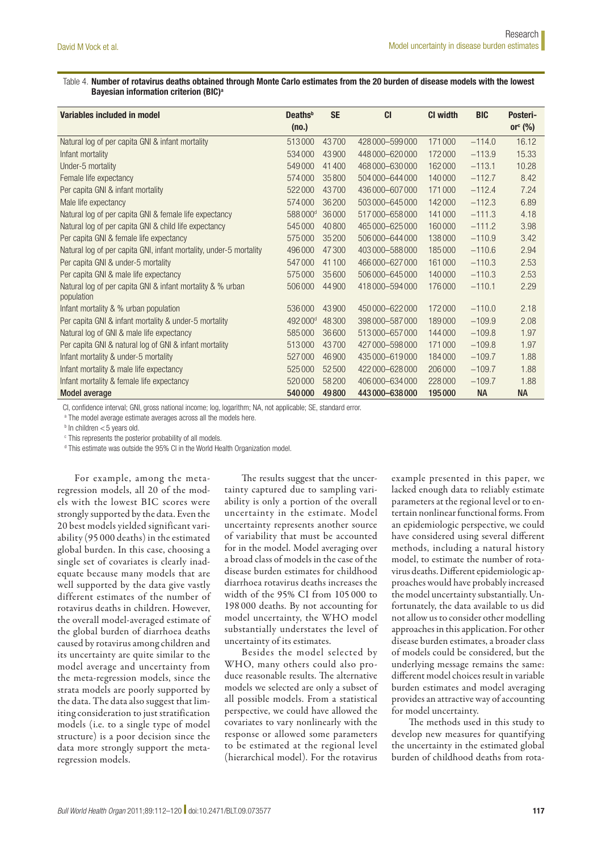#### <span id="page-5-0"></span>Table 4. Number of rotavirus deaths obtained through Monte Carlo estimates from the 20 burden of disease models with the lowest Bayesian information criterion (BIC)<sup>a</sup>

| Variables included in model                                              | Deaths <sup>b</sup> | <b>SE</b> | <b>CI</b>         | <b>CI</b> width | <b>BIC</b> | Posteri-   |
|--------------------------------------------------------------------------|---------------------|-----------|-------------------|-----------------|------------|------------|
|                                                                          | (no.)               |           |                   |                 |            | or $c$ (%) |
| Natural log of per capita GNI & infant mortality                         | 513000              | 43700     | 428 000 - 599 000 | 171000          | $-114.0$   | 16.12      |
| Infant mortality                                                         | 534000              | 43900     | 448000-620000     | 172000          | $-113.9$   | 15.33      |
| Under-5 mortality                                                        | 549000              | 41400     | 468 000 - 630 000 | 162000          | $-113.1$   | 10.28      |
| Female life expectancy                                                   | 574000              | 35800     | 504000-644000     | 140000          | $-112.7$   | 8.42       |
| Per capita GNI & infant mortality                                        | 522000              | 43700     | 436 000 - 607 000 | 171000          | $-112.4$   | 7.24       |
| Male life expectancy                                                     | 574000              | 36200     | 503000-645000     | 142000          | $-112.3$   | 6.89       |
| Natural log of per capita GNI & female life expectancy                   | 588000 <sup>d</sup> | 36000     | 517000-658000     | 141000          | $-111.3$   | 4.18       |
| Natural log of per capita GNI & child life expectancy                    | 545000              | 40800     | 465000-625000     | 160000          | $-111.2$   | 3.98       |
| Per capita GNI & female life expectancy                                  | 575000              | 35200     | 506000-644000     | 138000          | $-110.9$   | 3.42       |
| Natural log of per capita GNI, infant mortality, under-5 mortality       | 496000              | 47300     | 403000-588000     | 185000          | $-110.6$   | 2.94       |
| Per capita GNI & under-5 mortality                                       | 547000              | 41100     | 466000-627000     | 161000          | $-110.3$   | 2.53       |
| Per capita GNI & male life expectancy                                    | 575000              | 35600     | 506000-645000     | 140000          | $-110.3$   | 2.53       |
| Natural log of per capita GNI & infant mortality & % urban<br>population | 506000              | 44900     | 418000-594000     | 176000          | $-110.1$   | 2.29       |
| Infant mortality & % urban population                                    | 536000              | 43900     | 450000-622000     | 172000          | $-110.0$   | 2.18       |
| Per capita GNI & infant mortality & under-5 mortality                    | 492000 <sup>d</sup> | 48300     | 398 000 - 587 000 | 189000          | $-109.9$   | 2.08       |
| Natural log of GNI & male life expectancy                                | 585000              | 36600     | 513000-657000     | 144000          | $-109.8$   | 1.97       |
| Per capita GNI & natural log of GNI & infant mortality                   | 513000              | 43700     | 427000-598000     | 171000          | $-109.8$   | 1.97       |
| Infant mortality & under-5 mortality                                     | 527000              | 46900     | 435000-619000     | 184000          | $-109.7$   | 1.88       |
| Infant mortality & male life expectancy                                  | 525000              | 52500     | 422000-628000     | 206 000         | $-109.7$   | 1.88       |
| Infant mortality & female life expectancy                                | 520000              | 58200     | 406 000 - 634 000 | 228000          | $-109.7$   | 1.88       |
| <b>Model average</b>                                                     | 540000              | 49800     | 443000-638000     | 195000          | <b>NA</b>  | <b>NA</b>  |

CI, confidence interval; GNI, gross national income; log, logarithm; NA, not applicable; SE, standard error.

<sup>a</sup> The model average estimate averages across all the models here.

 $b$  In children  $<$  5 years old.

<sup>c</sup> This represents the posterior probability of all models.

<sup>d</sup> This estimate was outside the 95% CI in the World Health Organization model.

For example, among the metaregression models, all 20 of the models with the lowest BIC scores were strongly supported by the data. Even the 20 best models yielded significant variability (95 000 deaths) in the estimated global burden. In this case, choosing a single set of covariates is clearly inadequate because many models that are well supported by the data give vastly different estimates of the number of rotavirus deaths in children. However, the overall model-averaged estimate of the global burden of diarrhoea deaths caused by rotavirus among children and its uncertainty are quite similar to the model average and uncertainty from the meta-regression models, since the strata models are poorly supported by the data. The data also suggest that limiting consideration to just stratification models (i.e. to a single type of model structure) is a poor decision since the data more strongly support the metaregression models.

The results suggest that the uncertainty captured due to sampling variability is only a portion of the overall uncertainty in the estimate. Model uncertainty represents another source of variability that must be accounted for in the model. Model averaging over a broad class of models in the case of the disease burden estimates for childhood diarrhoea rotavirus deaths increases the width of the 95% CI from 105 000 to 198 000 deaths. By not accounting for model uncertainty, the WHO model substantially understates the level of uncertainty of its estimates.

Besides the model selected by WHO, many others could also produce reasonable results. The alternative models we selected are only a subset of all possible models. From a statistical perspective, we could have allowed the covariates to vary nonlinearly with the response or allowed some parameters to be estimated at the regional level (hierarchical model). For the rotavirus

example presented in this paper, we lacked enough data to reliably estimate parameters at the regional level or to entertain nonlinear functional forms. From an epidemiologic perspective, we could have considered using several different methods, including a natural history model, to estimate the number of rotavirus deaths. Different epidemiologic approaches would have probably increased the model uncertainty substantially. Unfortunately, the data available to us did not allow us to consider other modelling approaches in this application. For other disease burden estimates, a broader class of models could be considered, but the underlying message remains the same: different model choices result in variable burden estimates and model averaging provides an attractive way of accounting for model uncertainty.

The methods used in this study to develop new measures for quantifying the uncertainty in the estimated global burden of childhood deaths from rota-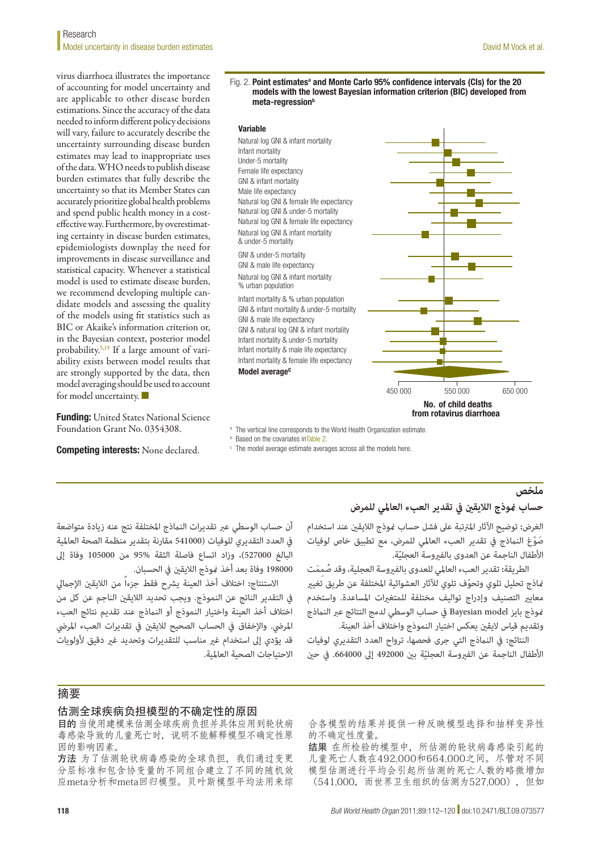#### **Model uncertainty in disease burden estimates** David M Vock et al. **David M Vock et al.** David M Vock et al. Research

virus diarrhoea illustrates the importance of accounting for model uncertainty and are applicable to other disease burden estimations. Since the accuracy of the data needed to inform different policy decisions will vary, failure to accurately describe the uncertainty surrounding disease burden estimates may lead to inappropriate uses of the data. WHO needs to publish disease burden estimates that fully describe the uncertainty so that its Member States can accurately prioritize global health problems and spend public health money in a costeffective way. Furthermore, by overestimating certainty in disease burden estimates, epidemiologists downplay the need for improvements in disease surveillance and statistical capacity. Whenever a statistical model is used to estimate disease burden, we recommend developing multiple candidate models and assessing the quality of the models using fit statistics such as BIC or Akaike's information criterion or, in the Bayesian context, posterior model probability.[5,](#page-8-3)[19](#page-8-15) If a large amount of variability exists between model results that are strongly supported by the data, then model averaging should be used to account for model uncertainty.

Funding: United States National Science Foundation Grant No. 0354308.

Competing interests: None declared.

#### <span id="page-6-0"></span>Fig. 2. Point estimates<sup>a</sup> and Monte Carlo 95% confidence intervals (CIs) for the 20 models with the lowest Bayesian information criterion (BIC) developed from meta-regression<sup>b</sup>

#### Variable



<sup>a</sup> The vertical line corresponds to the World Health Organization estimate.

**b** Based on the covariates i[nTable](#page-2-0) 2.

<sup>c</sup> The model average estimate averages across all the models here.

#### **ملخص**

### **حساب منوذج الاليقني يف تقدير العبء العاملي للمرض**

الغرض: توضيح الآثار المترتبة على فشل حساب <del>ن</del>موذج اللايقن عند استخدام صَوْغ النماذج فى تقدير العبء العالمي للمرض، مع تطبيق خاص لوفيات ّ األطفال الناجمة عن العدوى بالفريوسة العجلية.

الطريقة**:** تقدير العبء العالمي للعدوى بالفيروسة العجلية، وقد صُممَت ّ مناذج تحليل تلوي وتحوف تلوي لآلثار العشوائية املختلفة عن طريق تغيري معايير التصنيف وإدراج تواليف مختلفة للمتغيرات المساعدة. واستخدم منوذج بايز model Bayesian يف حساب الوسطي لدمج النتائج عرب النامذج وتقديم قياس لايقين يعكس اختيار النموذج واختلاف أخذ العينة.

النتائج**:** يف النامذج التي جرى فحصها، ترواح العدد التقديري لوفيات الأطفال الناجمة عن الفيروسة العجليّة بين 492000 إلى 664000. في حين

أن حساب الوسطى عبر تقديرات النماذج المختلفة نتج عنه زيادة متواضعة يف العدد التقديري للوفيات )541000 مقارنة بتقدير منظمة الصحة العاملية البالغ 527000(، وزاد اتساع فاصلة الثقة 95% من 105000 وفاة إىل 198000 وفاة بعد أخذ منوذج الاليقني يف الحسبان.

الا*س*تنتاج: اختلاف أخذ العينة يشرح فقط جزءاً من اللايقين الإجمالي يف التقدير الناتج عن النموذج. ويجب تحديد الاليقني الناجم عن كل من اختالف أخذ العينة واختيار النموذج أو النامذج عند تقديم نتائج العبء المرضي. والإخفاق في الحساب الصحيح للايقين في تقديرات العبء المرضي قد يؤدي إىل استخدام غري مناسب للتقديرات وتحديد غري دقيق ألولويات االحتياجات الصحية العاملية.

## 摘要

#### 估测全球疾病负担模型的不确定性的原因

目的 当使用建模来估测全球疾病负担并具体应用到轮状病 毒感染导致的儿童死亡时,说明不能解释模型不确定性原 因的影响因素。

方法 为了估测轮状病毒感染的全球负担, 我们通过变更 分层标准和包含协变量的不同组合建立了不同的随机效 应meta分析和meta回归模型。贝叶斯模型平均法用来综 合各模型的结果并提供一种反映模型选择和抽样变异性 的不确定性度量。

结果 在所检验的模型中,所估测的轮状病毒感染引起的 儿童死亡人数在492,000和664,000之间。尽管对不同 模型估测进行平均会引起所估测的死亡人数的略微增加 (541,000,而世界卫生组织的估测为527,000),但如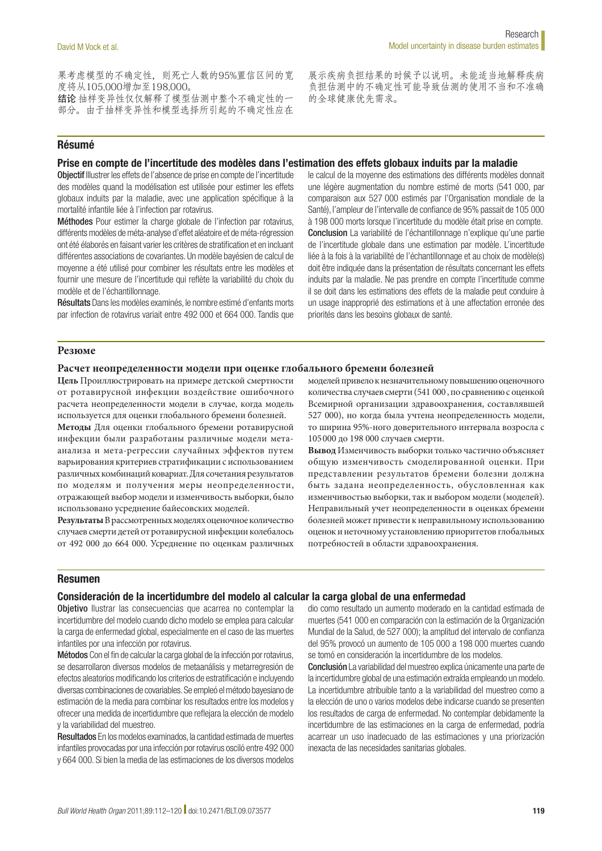果考虑模型的不确定性,则死亡人数的95%置信区间的宽 度将从105,000增加至198,000。 结论 抽样变异性仅仅解释了模型估测中整个不确定性的一 部分。由于抽样变异性和模型选择所引起的不确定性应在 展示疾病负担结果的时候予以说明。未能适当地解释疾病 负担估测中的不确定性可能导致估测的使用不当和不准确 的全球健康优先需求。

### Résumé

### Prise en compte de l'incertitude des modèles dans l'estimation des effets globaux induits par la maladie

Objectif Illustrer les effets de l'absence de prise en compte de l'incertitude des modèles quand la modélisation est utilisée pour estimer les effets globaux induits par la maladie, avec une application spécifique à la mortalité infantile liée à l'infection par rotavirus.

Méthodes Pour estimer la charge globale de l'infection par rotavirus, différents modèles de méta-analyse d'effet aléatoire et de méta-régression ont été élaborés en faisant varier les critères de stratification et en incluant différentes associations de covariantes. Un modèle bayésien de calcul de moyenne a été utilisé pour combiner les résultats entre les modèles et fournir une mesure de l'incertitude qui reflète la variabilité du choix du modèle et de l'échantillonnage.

Résultats Dans les modèles examinés, le nombre estimé d'enfants morts par infection de rotavirus variait entre 492 000 et 664 000. Tandis que le calcul de la moyenne des estimations des différents modèles donnait une légère augmentation du nombre estimé de morts (541 000, par comparaison aux 527 000 estimés par l'Organisation mondiale de la Santé), l'ampleur de l'intervalle de confiance de 95% passait de 105 000 à 198 000 morts lorsque l'incertitude du modèle était prise en compte. Conclusion La variabilité de l'échantillonnage n'explique qu'une partie de l'incertitude globale dans une estimation par modèle. L'incertitude liée à la fois à la variabilité de l'échantillonnage et au choix de modèle(s) doit être indiquée dans la présentation de résultats concernant les effets induits par la maladie. Ne pas prendre en compte l'incertitude comme il se doit dans les estimations des effets de la maladie peut conduire à un usage inapproprié des estimations et à une affectation erronée des priorités dans les besoins globaux de santé.

#### **Резюме**

#### **Расчет неопределенности модели при оценке глобального бремени болезней**

**Цель** Проиллюстрировать на примере детской смертности от ротавирусной инфекции воздействие ошибочного расчета неопределенности модели в случае, когда модель используется для оценки глобального бремени болезней.

**Методы** Для оценки глобального бремени ротавирусной инфекции были разработаны различные модели метаанализа и мета-регрессии случайных эффектов путем варьирования критериев стратификации с использованием различных комбинаций ковариат. Для сочетания результатов по моделям и получения меры неопределенности, отражающей выбор модели и изменчивость выборки, было использовано усреднение байесовских моделей.

**Результаты** В рассмотренных моделях оценочное количество случаев смерти детей от ротавирусной инфекции колебалось от 492 000 до 664 000. Усреднение по оценкам различных моделей привело к незначительному повышению оценочного количества случаев смерти (541 000 , по сравнению с оценкой Всемирной организации здравоохранения, составлявшей 527 000), но когда была учтена неопределенность модели, то ширина 95%-ного доверительного интервала возросла с 105000 до 198 000 случаев смерти.

**Вывод** Изменчивость выборки только частично объясняет общую изменчивость смоделированной оценки. При представлении результатов бремени болезни должна быть задана неопределенность, обусловленная как изменчивостью выборки, так и выбором модели (моделей). Неправильный учет неопределенности в оценках бремени болезней может привести к неправильному использованию оценок и неточному установлению приоритетов глобальных потребностей в области здравоохранения.

#### Resumen

#### Consideración de la incertidumbre del modelo al calcular la carga global de una enfermedad

Objetivo Ilustrar las consecuencias que acarrea no contemplar la incertidumbre del modelo cuando dicho modelo se emplea para calcular la carga de enfermedad global, especialmente en el caso de las muertes infantiles por una infección por rotavirus.

Métodos Con el fin de calcular la carga global de la infección por rotavirus, se desarrollaron diversos modelos de metaanálisis y metarregresión de efectos aleatorios modificando los criterios de estratificación e incluyendo diversas combinaciones de covariables. Se empleó el método bayesiano de estimación de la media para combinar los resultados entre los modelos y ofrecer una medida de incertidumbre que reflejara la elección de modelo y la variabilidad del muestreo.

Resultados En los modelos examinados, la cantidad estimada de muertes infantiles provocadas por una infección por rotavirus osciló entre 492 000 y 664 000. Si bien la media de las estimaciones de los diversos modelos dio como resultado un aumento moderado en la cantidad estimada de muertes (541 000 en comparación con la estimación de la Organización Mundial de la Salud, de 527 000); la amplitud del intervalo de confianza del 95% provocó un aumento de 105 000 a 198 000 muertes cuando se tomó en consideración la incertidumbre de los modelos.

Conclusión La variabilidad del muestreo explica únicamente una parte de la incertidumbre global de una estimación extraída empleando un modelo. La incertidumbre atribuible tanto a la variabilidad del muestreo como a la elección de uno o varios modelos debe indicarse cuando se presenten los resultados de carga de enfermedad. No contemplar debidamente la incertidumbre de las estimaciones en la carga de enfermedad, podría acarrear un uso inadecuado de las estimaciones y una priorización inexacta de las necesidades sanitarias globales.